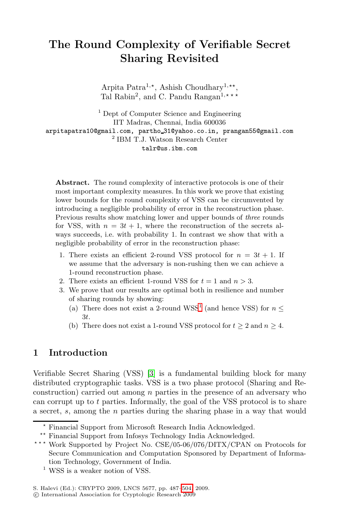# **The Round Complexity of Verifiable Secret Sharing Revisited**

Arpita Patra<sup>1,\*</sup>, Ashish Choudhary<sup>1,\*\*</sup>, Tal Rabin<sup>2</sup>, and C. Pandu Rangan<sup>1,\*\*\*</sup>

<sup>1</sup> Dept of Computer Science and Engineering IIT Madras, Chennai, India 600036 arpitapatra10@gmail.com, partho 31@yahoo.co.in, prangan55@gmail.com <sup>2</sup> IBM T.J. Watson Research Center talr@us.ibm.com

**Abstract.** The round complexity of interactive protocols is one of their most important complexity measures. In this work we prove that existing lower bounds for the round complexity of VSS can be circumvented by introducing a negligible probability of error in the reconstruction phase. Previous results show matching lower and upper bounds of *three* rounds for VSS, with  $n = 3t + 1$ , where the reconstruction of the secrets always succeeds, i.e. with [p](#page-0-0)robability 1. In contrast we show that with a negligible probability of error in the reconstruction phase:

- 1. There exists an efficient 2-round VSS protocol for  $n = 3t + 1$ . If we assume that the adversary is non-rushing then we can achieve a 1-round reconstruction phase.
- 2. There exists an efficient 1-round VSS for  $t = 1$  and  $n > 3$ .
- 3. We prove that our results are optimal both in resilience and number of s[har](#page-16-0)ing rounds by showing:
	- (a) There does not exist a 2-round WSS<sup>1</sup> (and hence VSS) for  $n \leq$ 3t.
	- (b) There does not exist a 1-round VSS protocol for  $t \geq 2$  and  $n \geq 4$ .

# **1 Introduction**

<span id="page-0-0"></span>Verifiable Secret Sharing (VSS) [3] is a fundamental building block for many distributed cryptographic tasks. VSS is a two phase protocol (Sharing and Reconstruction) carried out among  $n$  parties in the presence of an adversary who can corrupt up to  $t$  parties. Informally, the goal of the VSS protocol is to share a secret, s, among the n [pa](#page-17-0)rties during the sharing phase in a way that would

<sup>-</sup> Financial Support from Microsoft Research India Acknowledged.

<sup>\*\*</sup> Financial Support from Infosys Technology India Acknowledged.

<sup>\*\*\*</sup> Work Supported by Project No. CSE/05-06/076/DITX/CPAN on Protocols for Secure Communication and Computation Sponsored by Department of Information Technology, Government of India.

 $^{\rm 1}$  WSS is a weaker notion of VSS.

S. Halevi (Ed.): CRYPTO 2009, LNCS 5677, pp. 487–504, 2009.

<sup>-</sup>c International Association for Cryptologic Research 2009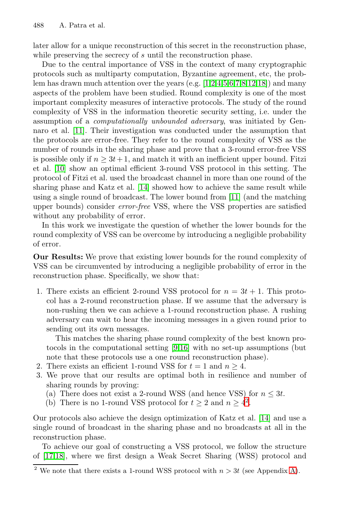later allow for a unique reconstruction of this secret in the reconstruction phase, while preserving the secrecy of s until the reconstruction phase.

Due to the central importance of VSS in the context of many cryptographic protocols such as multiparty computation, Byzantine agreement, etc, the problem has drawn much attention over the years (e.g. [1,2,4,5,6,7,8,12,18]) and many aspects of the problem have been studied. Round complexity is one of the most important complexity measures of interactive protocols. The study of the round complexity [of V](#page-16-1)SS in the information theoretic security setting, i.e. under the assumption of a *computationally unb[oun](#page-16-2)ded adversary*, was initiated by Gennaro et al. [11]. Their investigation was conducted under the assumption that the protocols are error-free. They refer to the round complexity of VSS as the number of rounds in the sharing phase and prove that a 3-round error-free VSS is possible only if  $n \geq 3t + 1$ , and match it with an inefficient upper bound. Fitzi et al. [10] show an optimal efficient 3-round VSS protocol in this setting. The protocol of Fitzi et al. used the broadcast channel in more than one round of the sharing phase and Katz et al. [14] showed how to achieve the same result while using a single round of broadcast. The lower bound from [11] (and the matching upper bounds) consider *error-free* VSS, where the VSS properties are satisfied without any probability of error.

In this work we investigate the question of whether the lower bounds for the round complexity of VSS can be overcome by introducing a negligible probability of error.

**Our Results:** We prove that existing lower bounds for the round complexity of VSS can be circumvented by introducing a negligible probability of error in the reconstruction phase. [S](#page-16-3)[pec](#page-16-4)ifically, we show that:

1. There exists an efficient 2-round VSS protocol for  $n = 3t + 1$ . This protocol has a 2-round reconstruction phase. If we assume that the adversary is non-rushing then we can achieve a 1-round reconstruction phase. A rushing adversary can wait to hear the incoming messages in a given round prior to sending out its own messages.

This matches the sharing phase round complexity of the best known protocols in the computational setting [9,16] [with](#page-16-1) no set-up assumptions (but note that these protocols use a one round reconstruction phase).

- 2. There exists an efficient 1-round VSS for  $t = 1$  and  $n \ge 4$ .
- 3. We prove that our results are optimal both in resilience and number of sharing rounds by proving:
	- (a) There does not exist a 2-round WSS (and henc[e V](#page-17-1)SS) for  $n \leq 3t$ .
	- (b) There is no 1-round VSS protocol for  $t \geq 2$  and  $n \geq 4^2$ .

Our protocols also achieve the design optimization of Katz et al. [14] and use a single round of broadcast in the sharing phase and no broadcasts at all in the reconstruction phase.

To achieve our goal of constructing a VSS protocol, we follow the structure of [17,18], where we first design a Weak Secret Sharing (WSS) protocol and

<sup>&</sup>lt;sup>2</sup> We note that there exists a 1-round WSS protocol with  $n > 3t$  (see Appendix A).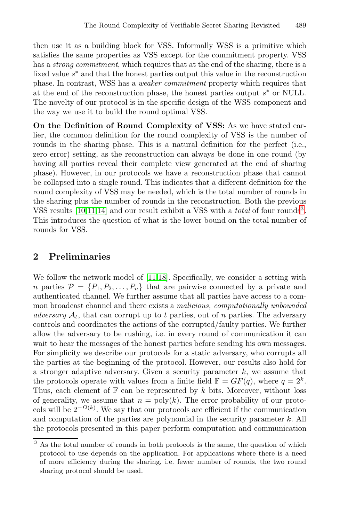then use it as a building block for VSS. Informally WSS is a primitive which satisfies the same properties as VSS except for the commitment property. VSS has a *strong commitment*, which requires that at the end of the sharing, there is a fixed value s<sup>∗</sup> and that the honest parties output this value in the reconstruction phase. In contrast, WSS has a *weaker commitment* property which requires that at the end of the reconstruction phase, the honest parties output  $s^*$  or NULL. The novelty of our protocol is in the specific design of the WSS component and the way we use it to build the round optimal VSS.

<span id="page-2-1"></span>**On the Definition of Round Complexity of VSS:** As we have stated ear[lie](#page-16-1)r, the common definition for the round complexity of [VS](#page-2-0)S is the number of rounds in the sharing phase. This is a natural definition for the perfect (i.e., zero error) setting, as the reconstruction can always be done in one round (by having all parties reveal their complete view generated at the end of sharing phase). However, in our protocols we have a reconstruction phase that cannot be collapsed into a single round. This indicates that a different definition for the round complexity of VSS may be needed, which is the total number of rounds in the sharing pl[us](#page-16-2) [the](#page-16-5) number of rounds in the reconstruction. Both the previous VSS results [10,11,14] and our result exhibit a VSS with a *total* of four rounds<sup>3</sup>. This introduces the question of what is the lower bound on the total number of rounds for VSS.

## **2 Preliminaries**

We follow the network model of [11,18]. Specifically, we consider a setting with n parties  $\mathcal{P} = \{P_1, P_2, \ldots, P_n\}$  that are pairwise connected by a private and authenticated channel. We further assume that all parties have access to a common broadcast channel and there exists a *malicious, computationally unbounded adversary*  $A_t$ , that can corrupt up to t parties, out of n parties. The adversary controls and coordinates the actions of the corrupted/faulty parties. We further allow the adversary to be rushing, i.e. in every round of communication it can wait to hear the messages of the honest parties before sending his own messages. For simplicity we describe our protocols for a static adversary, who corrupts all the parties at the beginning of the protocol. However, our results also hold for a stronger adaptive adversary. Given a security parameter  $k$ , we assume that the protocols operate with values from a finite field  $\mathbb{F} = GF(q)$ , where  $q = 2^k$ . Thus, each element of  $\mathbb F$  can be represented by k bits. Moreover, without loss of generality, we assume that  $n = poly(k)$ . The error probability of our protocols will be  $2^{-\Omega(k)}$ . We say that our protocols are efficient if the communication and computation of the parties are polynomial in the security parameter  $k$ . All the protocols presented in this paper perform computation and communication

<span id="page-2-0"></span> $\frac{3}{3}$  As the total number of rounds in both protocols is the same, the question of which protocol to use depends on the application. For applications where there is a need of more efficiency during the sharing, i.e. fewer number of rounds, the two round sharing protocol should be used.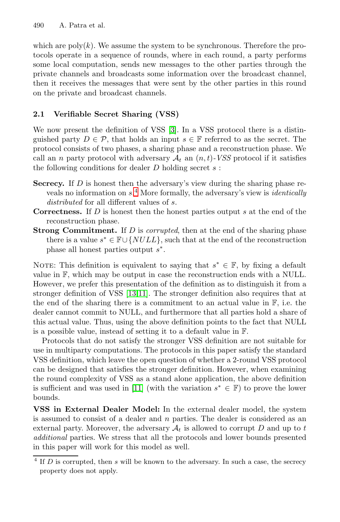which are  $poly(k)$ . We assume the system to be synchronous. Therefore the protocols operate in a s[eq](#page-16-0)uence of rounds, where in each round, a party performs some local computation, sends new messages to the other parties through the private channels and broadcasts some information over the broadcast channel, then it receives the messages that were sent by the other parties in this round on the private and broadcast channels.

### **2.1 Ver[ifi](#page-3-0)able Secret Sharing (VSS)**

We now present the definition of VSS [3]. In a VSS protocol there is a distinguished party  $D \in \mathcal{P}$ , that holds an input  $s \in \mathbb{F}$  referred to as the secret. The protocol consists of two phases, a sharing phase and a reconstruction phase. We call an *n* party protocol with adversary  $A_t$  an  $(n, t)$ *-VSS* protocol if it satisfies the following conditions for dealer  $D$  holding secret  $s$ :

- **Secrecy.** If D is honest then the adversary's view during the sharing phase reveals no information on s.<sup>4</sup> More formally, the adversary's view is *identically distributed* for all different values of s.
- **Correctness.** If D is honest then the honest parties output s at the end of the reco[nst](#page-16-6)[ruc](#page-16-2)tion phase.
- **Strong Commitment.** If D is *corrupted*, then at the end of the sharing phase there is a value  $s^* \in \mathbb{F} \cup \{NULL\}$ , such that at the end of the reconstruction phase all honest parties output  $s^*$ .

NOTE: This definition is equivalent to saying that  $s^* \in \mathbb{F}$ , by fixing a default value in F, which may be output in case the reconstruction ends with a NULL. However, we prefer this presentation of the definition as to distinguish it from a stronger definition of VSS [13,11]. The stronger definition also requires that at the end of the sharing there is a commitment to an actual value in F, i.e. the dealer ca[nnot](#page-16-2) commit to NULL, and furthermore that all parties hold a share of this actual value. Thus, using the above definition points to the fact that NULL is a possible value, instead of setting it to a default value in F.

Protocols that do not satisfy the stronger VSS definition are not suitable for use in multiparty computations. The protocols in this paper satisfy the standard VSS definition, which leave the open question of whether a 2-round VSS protocol can be designed that satisfies the stronger definition. However, when examining the round complexity of VSS as a stand alone application, the above definition is sufficient and was used in [11] (with the variation  $s^* \in \mathbb{F}$ ) to prove the lower bounds.

<span id="page-3-0"></span>**VSS in External Dealer Model:** In the external dealer model, the system is assumed to consist of a dealer and  $n$  parties. The dealer is considered as an external party. Moreover, the adversary  $A_t$  is allowed to corrupt D and up to t *additional* parties. We stress that all the protocols and lower bounds presented in this paper will work for this model as well.

 $\frac{4 \text{ If } D \text{ is corrupted, then } s \text{ will be known to the adversary. In such a case, the secrecy}$ property does not apply.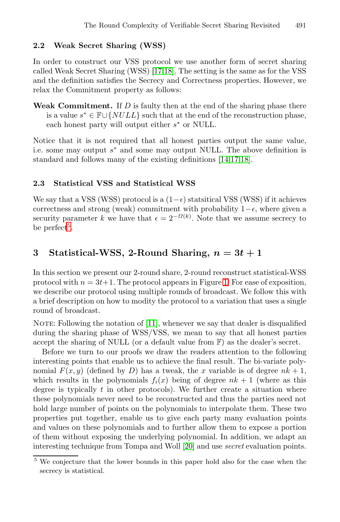# **2.2 Weak Secret Sharing (WSS)**

In order to construct our VSS protocol we use another form of secret sharing called Weak Secret Sharing (WSS) [17,18]. The setting is the same as for the VSS and the definition satisfies the Secrecy and Correctness properties. However, we relax the Commitment property as [fol](#page-16-1)[low](#page-16-7)[s:](#page-16-5)

**Weak Commitment.** If D is faulty then at the end of the sharing phase there is a value  $s^* \in \mathbb{F} \cup \{NULL\}$  such that at the end of the reconstruction phase. each honest party will output either  $s^*$  or NULL.

Notice that it is not required that all honest parties output the same value, i.e. some may output  $s<sup>*</sup>$  and some may output NULL. The above definition is standard and follows many of the existing definitions [14,17,18].

### **2.3 Statistical VSS and Statistical WSS**

We say that a VSS (WSS) protocol is a  $(1-\epsilon)$  statsitical VSS (WSS) if it achieves correctness and strong (weak) com[mit](#page-5-0)ment with probability  $1-\epsilon$ , where given a security parameter k we have that  $\epsilon = 2^{-\Omega(k)}$ . Note that we assume secrecy to be perfect<sup>5</sup>.

# **3** Statist[ica](#page-16-2)l-WSS, 2-Round Sharing,  $n = 3t + 1$

In this section we present our 2-round share, 2-round reconstruct statistical-WSS protocol with  $n = 3t+1$ . The protocol appears in Figure 1. For ease of exposition, we describe our protocol using multiple rounds of broadcast. We follow this with a brief description on how to modity the protocol to a variation that uses a single round of broadcast.

NOTE: Following the notation of [11], whenever we say that dealer is disqualified during the sharing phase of WSS/VSS, we mean to say that all honest parties accept the sharing of NULL (or a default value from F) as the dealer's secret.

Before we turn to our proofs we draw the readers attention to the following interesting points that enable us to achieve the final result. The bi-variate polynomial  $F(x, y)$  (defined [by](#page-16-8) D) has a tweak, the x variable is of degree  $nk + 1$ , which results in the polynomials  $f_i(x)$  being of degree  $nk + 1$  (where as this degree is typically  $t$  in other protocols). We further create a situation where these polynomials never need to be reconstructed and thus the parties need not hold large number of points on the polynomials to interpolate them. These two properties put together, enable us to give each party many evaluation points and values on these polynomials and to further allow them to expose a portion of them without exposing the underlying polynomial. In addition, we adapt an interesting technique from Tompa and Woll [20] and use *secret* evaluation points.

We conjecture that the lower bounds in this paper hold also for the case when the secrecy is statistical.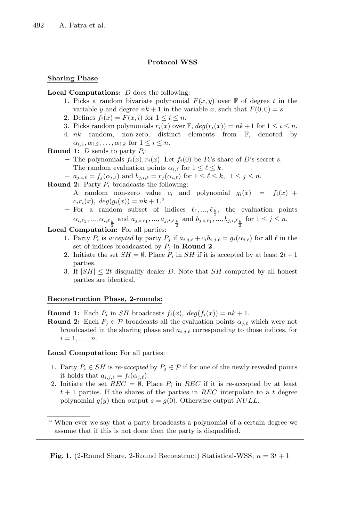### **Protocol WSS**

### **Sharing Phase**

**Local Computations:** D does the following:

- 1. Picks a random bivariate polynomial  $F(x, y)$  over  $\mathbb F$  of degree t in the variable y and degree  $nk + 1$  in the variable x, such that  $F(0, 0) = s$ .
- 2. Defines  $f_i(x) = F(x, i)$  for  $1 \leq i \leq n$ .
- 3. Picks random polynomials  $r_i(x)$  over  $\mathbb{F}$ ,  $deg(r_i(x)) = nk + 1$  for  $1 \leq i \leq n$ .
- 4. nk random, non-zero, distinct elements from F, denoted by  $\alpha_{i,1}, \alpha_{i,2}, \ldots, \alpha_{i,k}$  for  $1 \leq i \leq n$ .

**Round 1:** D sends to party Pi:

- The polynomials  $f_i(x), r_i(x)$ . Let  $f_i(0)$  be  $P_i$ 's share of D's secret s.
- **–** The random evaluation points  $\alpha_{i,\ell}$  for  $1 \leq \ell \leq k$ .
- $a_{j,i,\ell} = f_j(\alpha_{i,\ell})$  and  $b_{j,i,\ell} = r_j(\alpha_{i,\ell})$  for  $1 \leq \ell \leq k, \ 1 \leq j \leq n$ .

**Round 2:** Party  $P_i$  broadcasts the following:

- $-$  A random non-zero value  $c_i$  and polynomial  $g_i(x) = f_i(x) +$  $c_i r_i(x), \ deg(g_i(x)) = nk + 1.^a$
- $-$  For a random subset of indices  $\ell_1, ..., \ell_{\frac{k}{2}}$ , the evaluation points  $\alpha_{i,\ell_1}, ..., \alpha_{i,\ell_{\frac{k}{2}}}$  and  $a_{j,i,\ell_1}, ..., a_{j,i,\ell_{\frac{k}{2}}}$  and  $b_{j,i,\ell_1}, ..., b_{j,i,\ell_{\frac{k}{2}}}$  for  $1 \leq j \leq n$ .

**Local Computation:** For all parties:

- 1. Party  $P_i$  is *accepted* by party  $P_j$  if  $a_{i,j,\ell} + c_i b_{i,j,\ell} = g_i(\alpha_{j,\ell})$  for all  $\ell$  in the set of indices broadcasted by  $P_j$  in **Round 2**.
- 2. Initiate the set  $SH = \emptyset$ . Place  $P_i$  in  $SH$  if it is accepted by at least  $2t + 1$ parties.
- 3. If  $|SH| \leq 2t$  disqualify dealer D. Note that SH computed by all honest parties are identical.

### **Reconstruction Phase, 2-rounds:**

**Round 1:** Each  $P_i$  in *SH* broadcasts  $f_i(x)$ ,  $deg(f_i(x)) = nk + 1$ .

**Round 2:** Each  $P_i \in \mathcal{P}$  broadcasts all the evaluation points  $\alpha_{i,\ell}$  which were not broadcasted in the sharing phase and  $a_{i,j,\ell}$  corresponding to those indices, for  $i=1,\ldots,n.$ 

**Local Computation:** For all parties:

- 1. Party  $P_i \in SH$  is *re-accepted* by  $P_j \in \mathcal{P}$  if for one of the newly revealed points it holds that  $a_{i,j,\ell} = f_i(\alpha_{j,\ell}).$
- 2. Initiate the set  $REC = \emptyset$ . Place  $P_i$  in REC if it is re-accepted by at least  $t + 1$  parties. If the shares of the parties in  $REC$  interpolate to a t degree polynomial  $g(y)$  then output  $s = g(0)$ . Otherwise output NULL.

<span id="page-5-0"></span>**Fig. 1.** (2-Round Share, 2-Round Reconstruct) Statistical-WSS,  $n = 3t + 1$ 

 $^a$  When ever we say that a party broadcasts a polynomial of a certain degree we assume that if this is not done then the party is disqualified.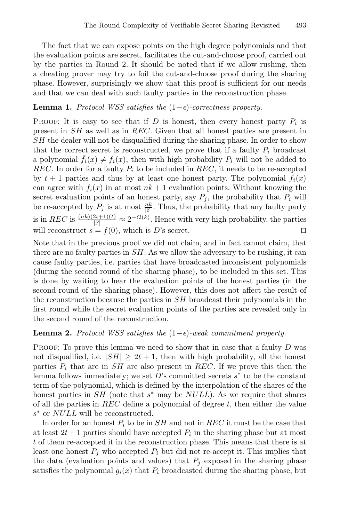The fact that we can expose points on the high degree polynomials and that the evaluation points are secret, facilitates the cut-and-choose proof, carried out by the parties in Round 2. It should be noted that if we allow rushing, then a cheating prover may try to foil the cut-and-choose proof during the sharing phase. However, surprisingly we show that this proof is sufficient for our needs and that we can deal with such faulty parties in the reconstruction phase.

### <span id="page-6-0"></span>**Lemma 1.** *Protocol WSS satisfies the*  $(1 - \epsilon)$ -correctness property.

**PROOF:** It is easy to see that if D is honest, then every honest party  $P_i$  is present in SH as well as in REC. Given that all honest parties are present in SH the dealer will not be disqualified during the sharing phase. In order to show that the correct secret is reconstructed, we prove that if a faulty  $P_i$  broadcast a polynomial  $f_i(x) \neq f_i(x)$ , then with high probability  $P_i$  will not be added to REC. In order for a faulty  $P_i$  to be included in REC, it needs to be re-accepted by  $t + 1$  parties and thus by at least one honest party. The polynomial  $f_i(x)$ can agree with  $f_i(x)$  in at most  $nk+1$  evaluation points. Without knowing the secret evaluation points of an honest party, say  $P_j$ , the probability that  $P_i$  will be re-accepted by  $P_j$  is at most  $\frac{nk}{\mathbb{F}}$ . Thus, the probability that any faulty party is in REC is  $\frac{(nk)(2t+1)(t)}{|\mathbb{F}|} \approx 2^{-\Omega(k)}$ . Hence with very high probability, the parties will reconstruct  $s = f(0)$ , which is D's secret.

Note that in the previous proof we did not claim, and in fact cannot claim, that there are no faulty parties in  $SH$ . As we allow the adversary to be rushing, it can cause faulty parties, i.e. parties that have broadcasted inconsistent polynomials (during the second round of the sharing phase), to be included in this set. This is done by waiting to hear the evaluation points of the honest parties (in the second round of the sharing phase). However, this does not affect the result of the reconstruction because the parties in SH broadcast their polynomials in the first round while the secret evaluation points of the parties are revealed only in the second round of the reconstruction.

### <span id="page-6-1"></span>**Lemma 2.** *Protocol WSS satisfies the*  $(1 - \epsilon)$ -weak commitment property.

PROOF: To prove this lemma we need to show that in case that a faulty D was not disqualified, i.e.  $|SH| \geq 2t + 1$ , then with high probability, all the honest parties  $P_i$  that are in  $SH$  are also present in REC. If we prove this then the lemma follows immediately; we set D's committed secrets  $s^*$  to be the constant term of the polynomial, which is defined by the interpolation of the shares of the honest parties in SH (note that  $s^*$  may be NULL). As we require that shares of all the parties in  $REC$  define a polynomial of degree t, then either the value s<sup>∗</sup> or *NULL* will be reconstructed.

In order for an honest  $P_i$  to be in  $SH$  and not in REC it must be the case that at least  $2t + 1$  parties should have accepted  $P_i$  in the sharing phase but at most t of them re-accepted it in the reconstruction phase. This means that there is at least one honest  $P_j$  who accepted  $P_i$  but did not re-accept it. This implies that the data (evaluation points and values) that  $P_i$  exposed in the sharing phase satisfies the polynomial  $g_i(x)$  that  $P_i$  broadcasted during the sharing phase, but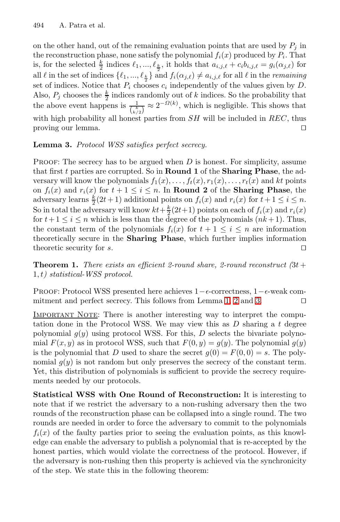<span id="page-7-0"></span>on the other hand, out of the remaining evaluation points that are used by  $P_i$  in the reconstruction phase, none satisfy the polynomial  $f_i(x)$  produced by  $P_i$ . That is, for the selected  $\frac{k}{2}$  indices  $\ell_1, ..., \ell_{\frac{k}{2}}$ , it holds that  $a_{i,j,\ell} + c_i b_{i,j,\ell} = g_i(\alpha_{j,\ell})$  for all  $\ell$  in the set of indices  $\{\ell_1, ..., \ell_{\frac{k}{2}}\}$  and  $f_i(\alpha_{j,\ell}) \neq a_{i,j,\ell}$  for all  $\ell$  in the *remaining* set of indices. Notice that  $P_i$  chooses  $c_i$  independently of the values given by D. Also,  $P_j$  chooses the  $\frac{k}{2}$  indices randomly out of k indices. So the probability that the above event happens is  $\frac{k}{\binom{k}{k/2}} \approx 2^{-\Omega(k)}$ , which is negligible. This shows that with high probability all honest parties from  $SH$  will be included in  $REC$ , thus proving our lemma. 

### **Lemma 3.** *Protocol WSS satisfies perfect secrecy.*

**PROOF:** The secrecy has to be argued when  $D$  is honest. For simplicity, assume that first t parties are corrupted. So in **Round 1** of the **Sharing Phase**, the adversary will know the polynomials  $f_1(x), \ldots, f_t(x), r_1(x), \ldots, r_t(x)$  and kt points on  $f_i(x)$  and  $r_i(x)$  for  $t + 1 \leq i \leq n$ . In **Round 2** of the **Sharing Phase**, the adversary learns  $\frac{k}{2}(2t+1)$  additional points on  $f_i(x)$  and  $r_i(x)$  for  $t+1 \leq i \leq n$ . So in total the adversary will know  $kt + \frac{k}{2}(2t+1)$  points on each of  $f_i(x)$  and  $r_i(x)$ for  $t+1 \leq i \leq n$  which is less than the degree of the polynomials  $(nk+1)$ . Thus, the constant term of the polynomia[ls](#page-6-0)  $f_i(x)$  $f_i(x)$  f[or](#page-7-0)  $t + 1 \leq i \leq n$  are information theoretically secure in the **Sharing Phase**, which further implies information theoretic security for s.  $\Box$ 

**Theorem 1.** *There exists an efficient 2-round share, 2-round reconstruct*  $(3t +$ 1, t*) statistical-WSS protocol.*

PROOF: Protocol WSS presented here achieves 1- $\epsilon$ -correctness, 1- $\epsilon$ -weak commitment and perfect secrecy. This follows from Lemma 1, 2 and 3.

IMPORTANT NOTE: There is another interesting way to interpret the computation done in the Protocol WSS. We may view this as  $D$  sharing a t degree polynomial  $q(y)$  using protocol WSS. For this, D selects the bivariate polynomial  $F(x, y)$  as in protocol WSS, such that  $F(0, y) = g(y)$ . The polynomial  $g(y)$ is the polynomial that D used to share the secret  $q(0) = F(0, 0) = s$ . The polynomial  $g(y)$  is not random but only preserves the secrecy of the constant term. Yet, this distribution of polynomials is sufficient to provide the secrecy requirements needed by our protocols.

**Statistical WSS with One Round of Reconstruction:** It is interesting to note that if we restrict the adversary to a non-rushing adversary then the two rounds of the reconstruction phase can be collapsed into a single round. The two rounds are needed in order to force the adversary to commit to the polynomials  $f_i(x)$  of the faulty parties prior to seeing the evaluation points, as this knowledge can enable the adversary to publish a polynomial that is re-accepted by the honest parties, which would violate the correctness of the protocol. However, if the adversary is non-rushing then this property is achieved via the synchronicity of the step. We state this in the following theorem: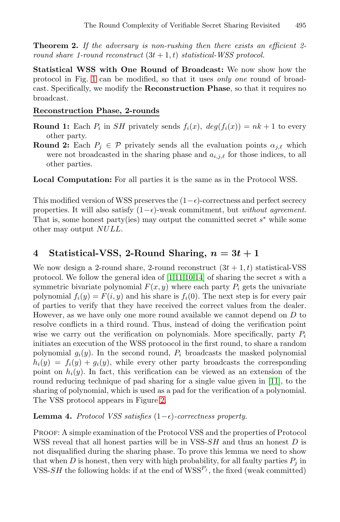**Theorem 2.** *If the adversary is non-rushing then there exists an efficient 2 round share 1-round reconstruct*  $(3t + 1, t)$  *statistical-WSS protocol.* 

**Statistical WSS with One Round of Broadcast:** We now show how the protocol in Fig. 1 can be modified, so that it uses *only one* round of broadcast. Specifically, we modify the **Reconstruction Phase**, so that it requires no broadcast.

#### **Reconstruction Phase, 2-rounds**

- **Round 1:** Each  $P_i$  in SH privately sends  $f_i(x)$ ,  $deg(f_i(x)) = nk + 1$  to every other party.
- **Round 2:** Each  $P_j \in \mathcal{P}$  privately sends all the evaluation points  $\alpha_{j,\ell}$  which were not broadcasted in the sharing phase and  $a_{i,j,\ell}$  for those indices, to all other parties.

**Local Computation:** For all parties it is the same as in the Protocol WSS.

This modified versio[n](#page-16-9) [of](#page-16-2) [WS](#page-16-10)[S pr](#page-16-1)eserves the  $(1-\epsilon)$ -correctness and perfect secrecy properties. It will also satisfy  $(1 - \epsilon)$ -weak commitment, but *without agreement*. That is, some honest party(ies) may output the committed secret  $s^*$  while some other may output NULL.

# **4** Statistical-VSS, 2-Round Sharing,  $n = 3t + 1$

<span id="page-8-0"></span>We now design a 2-round share, 2-round reconstruct  $(3t + 1, t)$  statistical-VSS protocol. We follow the general idea of [1,11,10,14] of sharing the secret s with a symmetric bivariate polynomial  $F(x, y)$  where each party  $P_i$  gets the univariate polynomial  $f_i(y) = F(i, y)$  and his share is  $f_i(0)$ . The next step is for every pair of parties to verify that they have received the c[orre](#page-16-2)ct values from the dealer. However, as we have only one more round available we cannot depend on D to resolve conflicts i[n a](#page-9-0) third round. Thus, instead of doing the verification point wise we carry out the verification on polynomials. More specifically, party  $P_i$ initiates an execution of the WSS protoocol in the first round, to share a random polynomial  $q_i(y)$ . In the second round,  $P_i$  broadcasts the masked polynomial  $h_i(y) = f_i(y) + g_i(y)$ , while every other party broadcasts the corresponding point on  $h_i(y)$ . In fact, this verification can be viewed as an extension of the round reducing technique of pad sharing for a single value given in [11], to the sharing of polynomial, which is used as a pad for the verification of a polynomial. The VSS protocol appears in Figure 2.

### **Lemma 4.** *Protocol VSS satisfies*  $(1 - \epsilon)$ -correctness property.

Proof: A simple examination of the Protocol VSS and the properties of Protocol WSS reveal that all honest parties will be in VSS-SH and thus an honest D is not disqualified during the sharing phase. To prove this lemma we need to show that when  $D$  is honest, then very with high probability, for all faulty parties  $P_i$  in VSS-SH the following holds: if at the end of  $WSS<sup>P<sub>j</sub></sup>$ , the fixed (weak committed)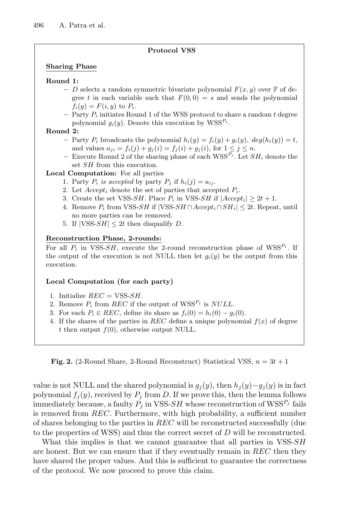#### **Protocol VSS**

#### **Sharing Phase**

#### **Round 1:**

- D selects a random symmetric bivariate polynomial  $F(x, y)$  over  $\mathbb F$  of degree t in each variable such that  $F(0, 0) = s$  and sends the polynomial  $f_i(y) = F(i, y)$  to  $P_i$ .
- $-$  Party  $P_i$  initiates Round 1 of the WSS protocol to share a random t degree polynomial  $g_i(y)$ . Denote this execution by  $WSS^{P_i}$ .

#### **Round 2:**

- $P_i$  broadcasts the polynomial  $h_i(y) = f_i(y) + g_i(y)$ ,  $deg(h_i(y)) = t$ , and values  $a_{ji} = f_i(j) + g_j(i) = f_j(i) + g_j(i)$ , for  $1 \leq j \leq n$ .
- Execute Round 2 of the sharing phase of each  $WSS^{P_i}$ . Let  $SH_i$  denote the set *SH* from this execution.

#### **Local Computation:** For all parties

- 1. Party  $P_i$  *is accepted* by party  $P_i$  if  $h_i(j) = a_{ij}$ .
- 2. Let  $Accept_i$  denote the set of parties that accepted  $P_i$ .
- 3. Create the set VSS-SH. Place  $P_i$  in VSS-SH if  $|Accept_i| \geq 2t + 1$ .
- 4. Remove  $P_i$  from VSS-SH if |VSS-SH ∩  $Accept_i \cap SH_i$ |  $\leq 2t$ . Repeat, until no more parties can be removed.
- 5. If  $|VSS-SH| \leq 2t$  then disqualify D.

#### **Reconstruction Phase, 2-rounds:**

For all  $P_i$  in VSS-SH, execute the 2-round reconstruction phase of  $WSS^{P_i}$ . If the output of the execution is not NULL then let  $g_i(y)$  be the output from this execution.

#### **Local Computation (for each party)**

- 1. Initialize  $REC = VSS-SH$ .
- 2. Remove  $P_i$  from REC if the output of  $WSS^{P_i}$  is NULL.
- 3. For each  $P_i \in REC$ , define its share as  $f_i(0) = h_i(0) g_i(0)$ .
- 4. If the shares of the parties in REC define a unique polynomial  $f(x)$  of degree t then output  $f(0)$ , otherwise output NULL.

<span id="page-9-0"></span>**Fig. 2.** (2-Round Share, 2-Round Reconstruct) Statistical VSS,  $n = 3t + 1$ 

value is not NULL and the shared polynomial is  $g_j(y)$ , then  $h_j(y)-g_j(y)$  is in fact polynomial  $f_j(y)$ , received by  $P_j$  from D. If we prove this, then the lemma follows immediately because, a faulty  $P_i$  in VSS-SH whose reconstruction of WSS<sup> $P_j$ </sup> fails is removed from REC. Furthermore, with high probability, a sufficient number of shares belonging to the parties in REC will be reconstructed successfully (due to the properties of WSS) and thus the correct secret of  $D$  will be reconstructed.

What this implies is that we cannot guarantee that all parties in VSS-SH are honest. But we can ensure that if they eventually remain in  $REC$  then they have shared the proper values. And this is sufficient to guarantee the correctness of the protocol. We now proceed to prove this claim.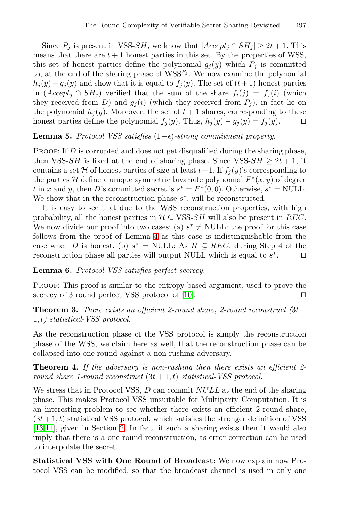Since  $P_j$  is present in VSS-SH, we know that  $|Accept_j \cap SH_j| \geq 2t + 1$ . This means that there are  $t + 1$  honest parties in this set. By the properties of WSS, this set of honest parties define the polynomial  $g_j(y)$  which  $P_j$  is committed to, at the end of the sharing phase of  $WSS^{P_j}$ . We now examine the polynomial  $h_j(y)-g_j(y)$  and show that it is equal to  $f_j(y)$ . The set of  $(t+1)$  honest parties in  $(Accept<sub>j</sub> \cap SH<sub>j</sub>)$  verified that the sum of the share  $f<sub>i</sub>(j) = f<sub>j</sub>(i)$  (which they received from D) and  $g_i(i)$  (which they received from  $P_i$ ), in fact lie on the polynomial  $h_j(y)$ . Moreover, the set of  $t + 1$  shares, corresponding to these honest parties define the polynomial  $f_j(y)$ . Thus,  $h_j(y) - g_j(y) = f_j(y)$ .  $\Box$ 

### **Lemma 5.** *Protocol VSS satisfies*  $(1 - \epsilon)$ -strong commitment property.

PROOF: If D is corrupted and does not get disqualified during the sharing phase, then VSS-SH i[s fi](#page-8-0)xed at the end of sharing phase. Since VSS-SH  $\geq 2t + 1$ , it contains a set H of honest parties of size at least  $t+1$ . If  $f_i(y)$ 's corresponding to the parties H define a unique symmetric bivariate polynomial  $F^*(x, y)$  of degree t in x and y, then D's committed secret is  $s^* = F^*(0,0)$ . Otherwise,  $s^* = \text{NULL}$ . We show that in the reconstruction phase  $s^*$ . will be reconstructed.

It is easy to see that due to the WSS reconstruction properties, with high probability, all the hone[st p](#page-16-10)arties in  $\mathcal{H} \subseteq \text{VSS-}SH$  will also be present in REC. We now divide our proof into two cases: (a)  $s^* \neq \text{NULL}$ : the proof for this case follows from the proof of Lemma 4 as this case is indistinguishable from the case when D is honest. (b)  $s^* = \text{NULL}$ : As  $\mathcal{H} \subseteq$  REC, during Step 4 of the reconstruction phase all parties will output NULL which is equal to  $s^*$ .

**Lemma 6.** *Protocol VSS satisfies perfect secrecy.*

PROOF: This proof is similar to the entropy based argument, used to prove the secrecy of 3 round perfect VSS protocol of [10].

**Theorem 3.** *There exists an efficient 2-round share, 2-round reconstruct*  $(3t +$ 1, t*) statistical-VSS protocol.*

As the reconstruction phase of the VSS protocol is simply the reconstruction phase of the WSS, we claim here as well, that the reconstruction phase can be collap[se](#page-2-1)d into one round against a non-rushing adversary.

**Theorem 4.** *If the adversary is non-rushing then there exists an efficient 2 round share 1-round reconstruct*  $(3t + 1, t)$  *statistical-VSS protocol.* 

We stress that in Protocol VSS, D can commit  $NULL$  at the end of the sharing phase. This makes Protocol VSS unsuitable for Multiparty Computation. It is an interesting problem to see whether there exists an efficient 2-round share,  $(3t+1, t)$  statistical VSS protocol, which satisfies the stronger definition of VSS [13,11], given in Section 2. In fact, if such a sharing exists then it would also imply that there is a one round reconstruction, as error correction can be used to interpolate the secret.

**Statistical VSS with One Round of Broadcast:** We now explain how Protocol VSS can be modified, so that the broadcast channel is used in only one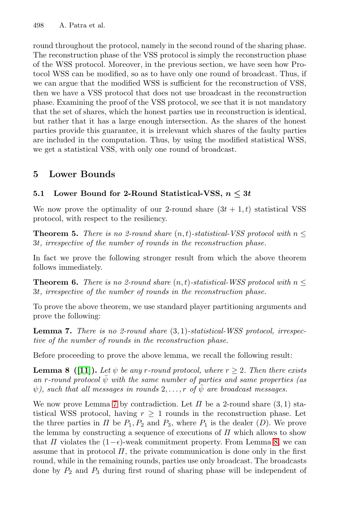round throughout the protocol, namely in the second round of the sharing phase. The reconstruction phase of the VSS protocol is simply the reconstruction phase of the WSS protocol. Moreover, in the previous section, we have seen how Protocol WSS can be modified, so as to have only one round of broadcast. Thus, if we can argue that the modified WSS is sufficient for the reconstruction of VSS, then we have a VSS protocol that does not use broadcast in the reconstruction phase. Examining the proof of the VSS protocol, we see that it is not mandatory that the set of shares, which the honest parties use in reconstruction is identical, but rather that it has a large enough intersection. As the shares of the honest parties provide this guarantee, it is irrelevant which shares of the faulty parties are included in the computation. Thus, by using the modified statistical WSS, we get a statistical VSS, with only one round of broadcast.

## <span id="page-11-2"></span>**5 Lower Bounds**

### **5.1** Lower Bound for 2-Round Statistical-VSS,  $n \leq 3t$

We now prove the optimality of our 2-round share  $(3t + 1, t)$  statistical VSS protocol, with respect to the resiliency.

<span id="page-11-0"></span>**Theorem 5.** *There is no 2-round share*  $(n, t)$ -statistical-VSS protocol with  $n \leq$ 3t*, irrespective of the number of rounds in the reconstruction phase.*

In fact we prove the following stronger result from which the above theorem follows immediately.

<span id="page-11-1"></span>**Theorem 6.** *There is no 2-round share*  $(n, t)$ *-statistical-WSS protocol with*  $n \leq$ 3t*, irrespective of the number of rounds in the reconstruction phase.*

To prove the above theorem, we use standard player partitioning arguments and prove the following:

**Le[mm](#page-11-0)a 7.** *There is no 2-round share* (3, 1)*-statistical-WSS protocol, irrespective of the number of rounds in the reconstruction phase.*

Before proceeding to prove the above lemma, we recall the following result:

**Lemma 8** ([11]). Let  $\psi$  be any r-round protocol, [whe](#page-11-1)re  $r \geq 2$ . Then there exists  $\alpha$  *an* r-round protocol  $\psi$  with the same number of parties and same properties (as  $\psi$ , such that all messages in rounds 2,...,r of  $\bar{\psi}$  are broadcast messages.

We now prove Lemma 7 by contradiction. Let  $\Pi$  be a 2-round share  $(3, 1)$  statistical WSS protocol, having  $r \geq 1$  rounds in the reconstruction phase. Let the three parties in  $\Pi$  be  $P_1, P_2$  and  $P_3$ , where  $P_1$  is the dealer  $(D)$ . We prove the lemma by constructing a sequence of executions of  $\Pi$  which allows to show that  $\Pi$  violates the  $(1-\epsilon)$ -weak commitment property. From Lemma 8, we can assume that in protocol  $\Pi$ , the private communication is done only in the first round, while in the remaining rounds, parties use only broadcast. The broadcasts done by  $P_2$  and  $P_3$  during first round of sharing phase will be independent of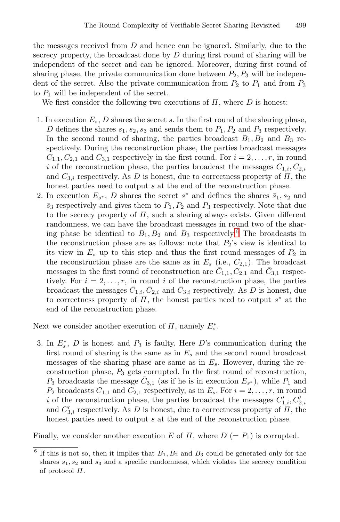the messages received from D and hence can be ignored. Similarly, due to the secrecy property, the broadcast done by  $D$  during first round of sharing will be independent of the secret and can be ignored. Moreover, during first round of sharing phase, the private communication done between  $P_2, P_3$  will be independent of the secret. Also the private communication from  $P_2$  to  $P_1$  and from  $P_3$ to  $P_1$  will be independent of the secret.

We first consider the following two executions of  $\Pi$ , where  $D$  is honest:

- 1. In execution  $E_s$ , D shares the secret s. In the first round of the sharing phase, D defines the shares  $s_1, s_2, s_3$  and sends them to  $P_1, P_2$  and  $P_3$  respectively. In the second round of sharing, the parties broadcast  $B_1, B_2$  and  $B_3$  respectively. During the reconstruction phase, the parties broadcast messages  $C_{1,1}, C_{2,1}$  and  $C_{3,1}$  respectively in t[he](#page-12-0) first round. For  $i = 2, \ldots, r$ , in round i of the reconstruction phase, the parties broadcast the messages  $C_{1,i}, C_{2,i}$ and  $C_{3,i}$  respectively. As D is honest, due to correctness property of  $\Pi$ , the honest parties need to output  $s$  at the end of the reconstruction phase.
- 2. In execution  $E_{s^*}$ , D shares the secret  $s^*$  and defines the shares  $\bar{s}_1, s_2$  and  $\bar{s}_3$  respectively and gives them to  $P_1, P_2$  and  $P_3$  respectively. Note that due to the secrecy property of  $\Pi$ , such a sharing always exists. Given different randomness, we can have the broadcast messages in round two of the sharing phase be identical to  $B_1, B_2$  and  $B_3$  respectively.<sup>6</sup> The broadcasts in the reconstruction phase are as follows: note that  $P_2$ 's view is identical to its view in  $E_s$  up to this step and thus the first round messages of  $P_2$  in the reconstruction phase are the same as in  $E_s$  (i.e.,  $C_{2,1}$ ). The broadcast messages in the first round of reconstruction are  $C_{1,1}, C_{2,1}$  and  $C_{3,1}$  respectively. For  $i = 2, \ldots, r$ , in round i of the reconstruction phase, the parties broadcast the messages  $\bar{C}_{1,i}, \bar{C}_{2,i}$  and  $\bar{C}_{3,i}$  respectively. As D is honest, due to correctness property of  $\Pi$ , the honest parties need to output  $s^*$  at the end of the reconstruction phase.

Next we consider another execution of  $\Pi$ , namely  $E_s^*$ .

3. In  $E_s^*$ , D is honest and  $P_3$  is faulty. Here D's communication during the first round of sharing is the same as in  $E_s$  and the second round broadcast messages of the sharing phase are same as in  $E_s$ . However, during the reconstruction phase,  $P_3$  gets corrupted. In the first round of reconstruction,  $P_3$  broadcasts the message  $\overline{C}_{3,1}$  (as if he is in execution  $E_{s^*}$ ), while  $P_1$  and  $P_2$  broadcasts  $C_{1,1}$  and  $C_{2,1}$  respectively, as in  $E_s$ . For  $i = 2, \ldots, r$ , in round i of the reconstruction phase, the parties broadcast the messages  $C'_{1,i}, C'_{2,i}$ and  $C'_{3,i}$  respectively. As D is honest, due to correctness property of  $\Pi$ , the honest parties need to output s at the end of the reconstruction phase.

<span id="page-12-0"></span>Finally, we consider another execution E of  $\Pi$ , where  $D (= P_1)$  is corrupted.

 $6$  If this is not so, then it implies that  $B_1, B_2$  and  $B_3$  could be generated only for the shares  $s_1, s_2$  and  $s_3$  and a specific randomness, which violates the secrecy condition of protocol  $\Pi$ .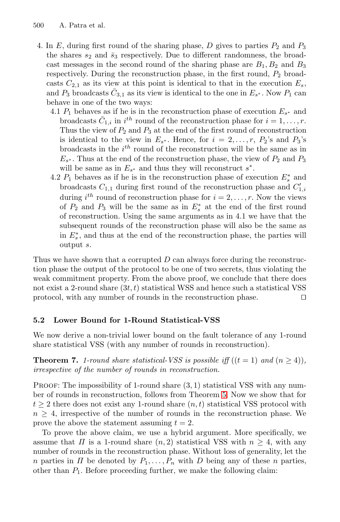- 4. In  $E$ , during first round of the sharing phase,  $D$  gives to parties  $P_2$  and  $P_3$ the shares  $s_2$  and  $\bar{s}_3$  respectively. Due to different randomness, the broadcast messages in the second round of the sharing phase are  $B_1, B_2$  and  $B_3$ respectively. During the reconstruction phase, in the first round,  $P_2$  broadcasts  $C_{2,1}$  as its view at this point is identical to that in the execution  $E_s$ , and  $P_3$  broadcasts  $\bar{C}_{3,1}$  as its view is identical to the one in  $E_{s^*}$ . Now  $P_1$  can behave in one of the two ways:
	- 4.1  $P_1$  behaves as if he is in the reconstruction phase of execution  $E_{s^*}$  and broadcasts  $\bar{C}_{1,i}$  in  $i^{th}$  round of the reconstruction phase for  $i = 1, \ldots, r$ . Thus the view of  $P_2$  and  $P_3$  at the end of the first round of reconstruction is identical to the view in  $E_{s^*}$ . Hence, for  $i = 2, \ldots, r, P_2$ 's and  $P_3$ 's broadcasts in the  $i^{th}$  round of the reconstruction will be the same as in  $E_{s*}$ . Thus at the end of the reconstruction phase, the view of  $P_2$  and  $P_3$ will be same as in  $E_{s^*}$  and thus they will reconstruct  $s^*$ .
	- 4.2  $P_1$  behaves as if he is in the reconstruction phase of execution  $E_s^*$  and broadcasts  $C_{1,1}$  during first round of the reconstruction phase and  $C'_{1,i}$ during  $i^{th}$  round of reconstruction phase for  $i = 2, \ldots, r$ . Now the views of  $P_2$  and  $P_3$  will be the same as in  $E_s^*$  at the end of the first round of reconstruction. Using the same arguments as in 4.1 we have that the subsequent rounds of the reconstruction phase will also be the same as in  $E_s^*$ , and thus at the end of the reconstruction phase, the parties will output s.

<span id="page-13-0"></span>Thus we have shown that a corrupted  $D$  can always force during the reconstruction phase the output of the protocol to be one of two secrets, thus violating the weak commitment property. From the above proof, we conclude that there does not exist a 2-round share  $(3t, t)$  statistical WSS and hence such a statistical VSS protocol, with any number of rounds in the reconstruction phase. 

### **5.2 Lower Bound for 1-Roun[d S](#page-11-2)tatistical-VSS**

We now derive a non-trivial lower bound on the fault tolerance of any 1-round share statistical VSS (with any number of rounds in reconstruction).

**Theorem 7.** *1-round share statistical-VSS is possible iff*  $((t = 1)$  *and*  $(n > 4)$ *)*, *irrespective of the number of rounds in reconstruction.*

PROOF: The impossibility of 1-round share  $(3,1)$  statistical VSS with any number of rounds in reconstruction, follows from Theorem 5. Now we show that for  $t \geq 2$  there does not exist any 1-round share  $(n, t)$  statistical VSS protocol with  $n \geq 4$ , irrespective of the number of rounds in the reconstruction phase. We prove the above the statement assuming  $t = 2$ .

To prove the above claim, we use a hybrid argument. More specifically, we assume that  $\Pi$  is a 1-round share  $(n, 2)$  statistical VSS with  $n > 4$ , with any number of rounds in the reconstruction phase. Without loss of generality, let the n parties in  $\Pi$  be denoted by  $P_1, \ldots, P_n$  with D being any of these n parties, other than  $P_1$ . Before proceeding further, we make the following claim: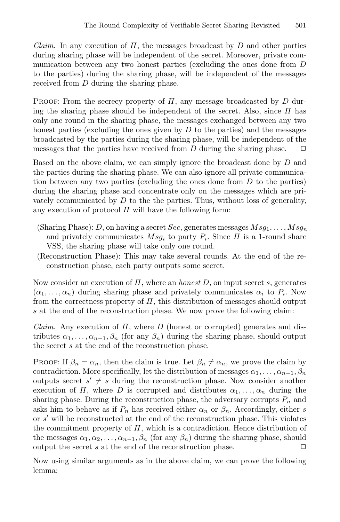*Claim.* In any execution of  $\Pi$ , the messages broadcast by  $D$  and other parties during sharing phase will be independent of the secret. Moreover, private communication between any two honest parties (excluding the ones done from D to the parties) during the sharing phase, will be independent of the messages received from D during the sharing phase.

PROOF: From the secrecy property of  $\Pi$ , any message broadcasted by  $D$  during the sharing phase should be independent of the secret. Also, since  $\Pi$  has only one round in the sharing phase, the messages exchanged between any two honest parties (excluding the ones given by  $D$  to the parties) and the messages broadcasted by the parties during the sharing phase, will be independent of the messages that the parties have received from  $D$  during the sharing phase.

Based on the above claim, we can simply ignore the broadcast done by D and the parties during the sharing phase. We can also ignore all private communication between any two parties (excluding the ones done from  $D$  to the parties) during the sharing phase and concentrate only on the messages which are privately communicated by  $D$  to the the parties. Thus, without loss of generality, any execution of protocol  $\Pi$  will have the following form:

- (Sharing Phase): D, on having a secret Sec, generates messages  $Msg_1, \ldots, Msg_n$ and privately communicates  $Msg_i$  to party  $P_i$ . Since  $\Pi$  is a 1-round share VSS, the sharing phase will take only one round.
- (Reconstruction Phase): This may take several rounds. At the end of the reconstruction phase, each party outputs some secret.

Now consider an execution of Π, where an *honest* D, on input secret s, generates  $(\alpha_1,\ldots,\alpha_n)$  during sharing phase and privately communicates  $\alpha_i$  to  $P_i$ . Now from the correctness property of  $\Pi$ , this distribution of messages should output s at the end of the reconstruction phase. We now prove the following claim:

*Claim.* Any execution of  $\Pi$ , where  $D$  (honest or corrupted) generates and distributes  $\alpha_1, \ldots, \alpha_{n-1}, \beta_n$  (for any  $\beta_n$ ) during the sharing phase, should output the secret s at the end of the reconstruction phase.

**PROOF:** If  $\beta_n = \alpha_n$ , then the claim is true. Let  $\beta_n \neq \alpha_n$ , we prove the claim by contradiction. More specifically, let the distribution of messages  $\alpha_1, \ldots, \alpha_{n-1}, \beta_n$ outputs secret  $s' \neq s$  during the reconstruction phase. Now consider another execution of  $\Pi$ , where D is corrupted and distributes  $\alpha_1, \ldots, \alpha_n$  during the sharing phase. During the reconstruction phase, the adversary corrupts  $P_n$  and asks him to behave as if  $P_n$  has received either  $\alpha_n$  or  $\beta_n$ . Accordingly, either s or  $s'$  will be reconstructed at the end of the reconstruction phase. This violates the commitment property of  $\Pi$ , which is a contradiction. Hence distribution of the messages  $\alpha_1, \alpha_2, \ldots, \alpha_{n-1}, \beta_n$  (for any  $\beta_n$ ) during the sharing phase, should output the secret s at the end of the reconstruction phase. output the secret  $s$  at the end of the reconstruction phase.

Now using similar arguments as in the above claim, we can prove the following lemma: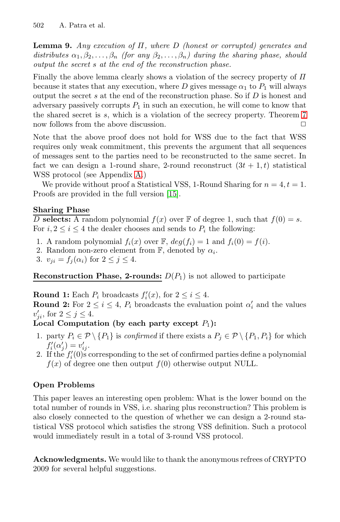**Lemma 9.** *Any execution of* Π*, where* D *(honest or corr[up](#page-13-0)ted) generates and*  $distributes \alpha_1, \beta_2, \ldots, \beta_n$  *(for any*  $\beta_2, \ldots, \beta_n$ ) during the sharing phase, should *output the secret* s *at the end of the reconstruction phase.*

Finally the above lemma clearly shows a violation of the secrecy property of  $\Pi$ because it states that any execution, where D gives message  $\alpha_1$  to  $P_1$  will always output the secret  $s$  at the end of the reconstruction phase. So if  $D$  is honest and adversary [pas](#page-17-1)sively corrupts  $P_1$  in such an execution, he will come to know that the shared secret is s, which is a violation of the secrecy property. Theorem 7 now follows from th[e](#page-16-11) [ab](#page-16-11)ove discussion.  $\Box$ 

Note that the above proof does not hold for WSS due to the fact that WSS requires only weak commitment, this prevents the argument that all sequences of messages sent to the parties need to be reconstructed to the same secret. In fact we can design a 1-round share, 2-round reconstruct  $(3t + 1, t)$  statistical WSS protocol (see Appendix A.)

We provide without proof a Statistical VSS, 1-Round Sharing for  $n = 4, t = 1$ . Proofs are provided in the full version [15].

### **Sharing Phase**

D **selects:** A random polynomial  $f(x)$  over  $\mathbb F$  of degree 1, such that  $f(0) = s$ . For  $i, 2 \leq i \leq 4$  the dealer chooses and sends to  $P_i$  the following:

- 1. A random polynomial  $f_i(x)$  over  $\mathbb{F}$ ,  $deg(f_i) = 1$  and  $f_i(0) = f(i)$ .
- 2. Random non-zero element from  $\mathbb{F}$ , denoted by  $\alpha_i$ .
- 3.  $v_{ji} = f_i(\alpha_i)$  for  $2 \leq j \leq 4$ .

**Reconstruction Phase, 2-rounds:**  $D(P_1)$  is not allowed to participate

**Round 1:** Each  $P_i$  broadcasts  $f'_i(x)$ , for  $2 \leq i \leq 4$ . **Round 2:** For  $2 \leq i \leq 4$ ,  $P_i$  broadcasts the evaluation point  $\alpha'_i$  and the values  $v'_{ji}$ , for  $2 \le j \le 4$ .

**Local Computation (by each party except**  $P_1$ ):

- 1. party  $P_i \in \mathcal{P} \setminus \{P_1\}$  is *confirmed* if there exists a  $P_j \in \mathcal{P} \setminus \{P_1, P_i\}$  for which  $f_i'(\alpha'_j) = v'_{ij}.$
- 2. If the  $f_i'(0)$  corresponding to the set of confirmed parties define a polynomial  $f(x)$  of degree one then output  $f(0)$  otherwise output NULL.

### **Open Problems**

This paper leaves an interesting open problem: What is the lower bound on the total number of rounds in VSS, i.e. sharing plus reconstruction? This problem is also closely connected to the question of whether we can design a 2-round statistical VSS protocol which satisfies the strong VSS definition. Such a protocol would immediately result in a total of 3-round VSS protocol.

**Acknowledgments.** We would like to thank the anonymous refrees of CRYPTO 2009 for several helpful suggestions.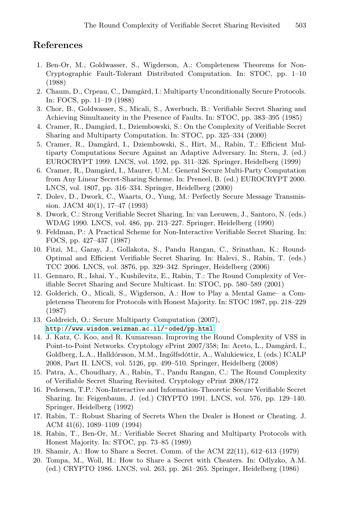### <span id="page-16-9"></span><span id="page-16-0"></span>**References**

- 1. Ben-Or, M., Goldwasser, S., Wigderson, A.: Completeness Theorems for Non-Cryptographic Fault-Tolerant Distributed Computation. In: STOC, pp. 1–10 (1988)
- 2. Chaum, D., Crpeau, C., Damgård, I.: Multiparty Unconditionally Secure Protocols. In: FOCS, pp. 11–19 (1988)
- 3. Chor, B., Goldwasser, S., Micali, S., Awerbuch, B.: Verifiable Secret Sharing and Achieving Simultaneity in the Presence of Faults. In: STOC, pp. 383–395 (1985)
- 4. Cramer, R., Damgård, I., Dziembowski, S.: On the Complexity of Verifiable Secret Sharing and Multiparty Computation. In: STOC, pp. 325–334 (2000)
- <span id="page-16-3"></span>5. Cramer, R., Damgård, I., Dziembowski, S., Hirt, M., Rabin, T.: Efficient Multiparty Computations Secure Against an Adaptive Adversary. In: Stern, J. (ed.) EUROCRYPT 1999. LNCS, vol. 1592, pp. 311–326. Springer, Heidelberg (1999)
- <span id="page-16-10"></span>6. Cramer, R., Damgård, I., Maurer, U.M.: General Secure Multi-Party Computation from Any Linear Secret-Sharing Scheme. In: Preneel, B. (ed.) EUROCRYPT 2000. LNCS, vol. 1807, pp. 316–334. Springer, Heidelberg (2000)
- <span id="page-16-2"></span>7. Dolev, D., Dwork, C., Waarts, O., Yung, M.: Perfectly Secure Message Transmission. JACM 40(1), 17–47 (1993)
- 8. Dwork, C.: Strong Verifiable Secret Sharing. In: van Leeuwen, J., Santoro, N. (eds.) WDAG 1990. LNCS, vol. 486, pp. 213–227. Springer, Heidelberg (1990)
- 9. Feldman, P.: A Practical Scheme for Non-Interactive Verifiable Secret Sharing. In: FOCS, pp. 427–437 (1987)
- <span id="page-16-6"></span><span id="page-16-1"></span>10. Fitzi, M., Garay, J., Gollakota, S., Pandu Rangan, C., Srinathan, K.: Round-[Optimal and Efficient Verifiable](http://www.wisdom.weizman.ac.il/~oded/pp.html) Secret Sharing. In: Halevi, S., Rabin, T. (eds.) TCC 2006. LNCS, vol. 3876, pp. 329–342. Springer, Heidelberg (2006)
- 11. Gennaro, R., Ishai, Y., Kushilevitz, E., Rabin, T.: The Round Complexity of Verifiable Secret Sharing and Secure Multicast. In: STOC, pp. 580–589 (2001)
- <span id="page-16-11"></span>12. Golderich, O., Micali, S., Wigderson, A.: How to Play a Mental Game– a Completeness Theorem for Protocols with Honest Majority. In: STOC 1987, pp. 218–229 (1987)
- <span id="page-16-4"></span>13. Goldreich, O.: Secure Multiparty Computation (2007), http://www.wisdom.weizman.ac.il/~oded/pp.html
- <span id="page-16-7"></span>14. J. Katz, C. Koo, and R. Kumaresan. Improving the Round Complexity of VSS in Point-to-Point Networks. Cryptology ePrint 2007/358; In: Aceto, L., Damgård, I., Goldberg, L.A., Halldórsson, M.M., Ingólfsdóttir, A., Walukiewicz, I. (eds.) ICALP 2008, Part II. LNCS, vol. 5126, pp. 499–510. Springer, Heidelberg (2008)
- <span id="page-16-8"></span><span id="page-16-5"></span>15. Patra, A., Choudhary, A., Rabin, T., Pandu Rangan, C.: The Round Complexity of Verifiable Secret Sharing Revisited. Cryptology ePrint 2008/172
- 16. Pedersen, T.P.: Non-Interactive and Information-Theoretic Secure Verifiable Secret Sharing. In: Feigenbaum, J. (ed.) CRYPTO 1991. LNCS, vol. 576, pp. 129–140. Springer, Heidelberg (1992)
- 17. Rabin, T.: Robust Sharing of Secrets When the Dealer is Honest or Cheating. J. ACM 41(6), 1089–1109 (1994)
- 18. Rabin, T., Ben-Or, M.: Verifiable Secret Sharing and Multiparty Protocols with Honest Majority. In: STOC, pp. 73–85 (1989)
- 19. Shamir, A.: How to Share a Secret. Comm. of the ACM 22(11), 612–613 (1979)
- 20. Tompa, M., Woll, H.: How to Share a Secret with Cheaters. In: Odlyzko, A.M. (ed.) CRYPTO 1986. LNCS, vol. 263, pp. 261–265. Springer, Heidelberg (1986)